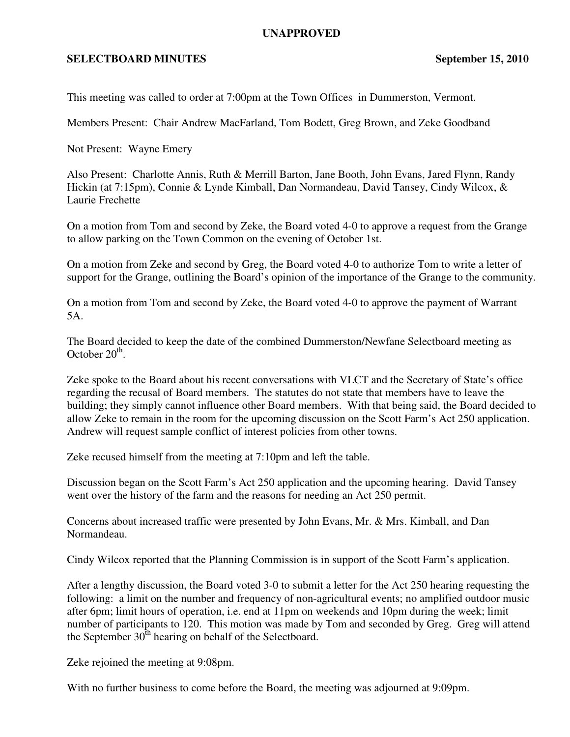## **UNAPPROVED**

## **SELECTBOARD MINUTES** September 15, 2010

This meeting was called to order at 7:00pm at the Town Offices in Dummerston, Vermont.

Members Present: Chair Andrew MacFarland, Tom Bodett, Greg Brown, and Zeke Goodband

Not Present: Wayne Emery

Also Present: Charlotte Annis, Ruth & Merrill Barton, Jane Booth, John Evans, Jared Flynn, Randy Hickin (at 7:15pm), Connie & Lynde Kimball, Dan Normandeau, David Tansey, Cindy Wilcox, & Laurie Frechette

On a motion from Tom and second by Zeke, the Board voted 4-0 to approve a request from the Grange to allow parking on the Town Common on the evening of October 1st.

On a motion from Zeke and second by Greg, the Board voted 4-0 to authorize Tom to write a letter of support for the Grange, outlining the Board's opinion of the importance of the Grange to the community.

On a motion from Tom and second by Zeke, the Board voted 4-0 to approve the payment of Warrant 5A.

The Board decided to keep the date of the combined Dummerston/Newfane Selectboard meeting as October  $20^{\text{th}}$ .

Zeke spoke to the Board about his recent conversations with VLCT and the Secretary of State's office regarding the recusal of Board members. The statutes do not state that members have to leave the building; they simply cannot influence other Board members. With that being said, the Board decided to allow Zeke to remain in the room for the upcoming discussion on the Scott Farm's Act 250 application. Andrew will request sample conflict of interest policies from other towns.

Zeke recused himself from the meeting at 7:10pm and left the table.

Discussion began on the Scott Farm's Act 250 application and the upcoming hearing. David Tansey went over the history of the farm and the reasons for needing an Act 250 permit.

Concerns about increased traffic were presented by John Evans, Mr. & Mrs. Kimball, and Dan Normandeau.

Cindy Wilcox reported that the Planning Commission is in support of the Scott Farm's application.

After a lengthy discussion, the Board voted 3-0 to submit a letter for the Act 250 hearing requesting the following: a limit on the number and frequency of non-agricultural events; no amplified outdoor music after 6pm; limit hours of operation, i.e. end at 11pm on weekends and 10pm during the week; limit number of participants to 120. This motion was made by Tom and seconded by Greg. Greg will attend the September  $30<sup>th</sup>$  hearing on behalf of the Selectboard.

Zeke rejoined the meeting at 9:08pm.

With no further business to come before the Board, the meeting was adjourned at 9:09pm.